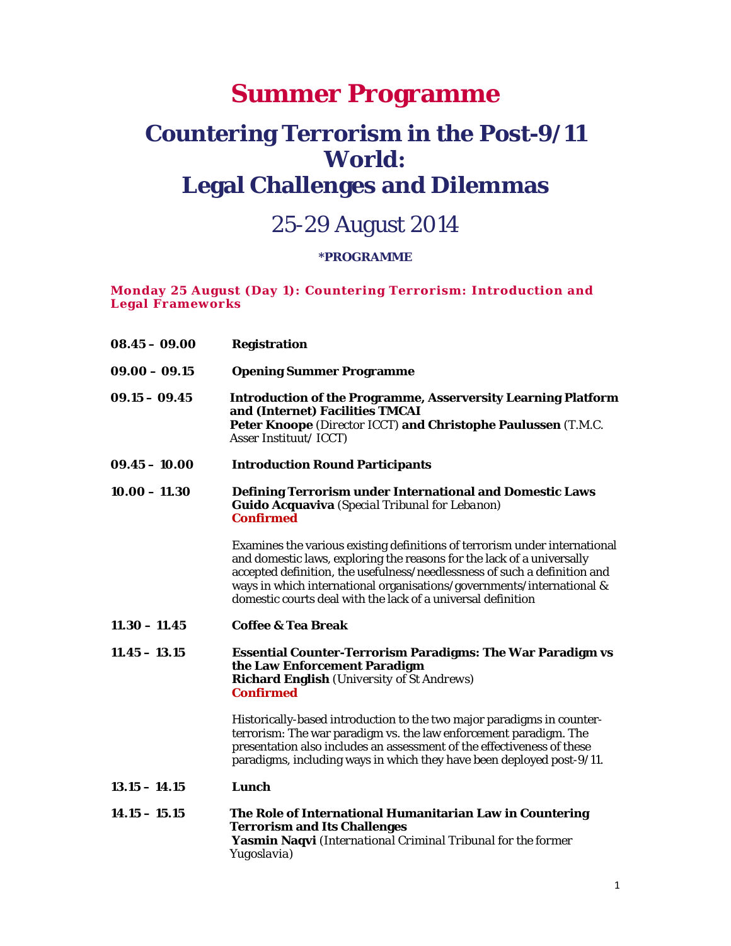# **Summer Programme**

# **Countering Terrorism in the Post-9/11 World: Legal Challenges and Dilemmas**

# 25-29 August 2014

# **\*PROGRAMME**

**Monday 25 August (Day 1): Countering Terrorism: Introduction and Legal Frameworks** 

| $08.45 - 09.00$ | <b>Registration</b>                                                                                                                                                                                                                                                                                                                                                        |
|-----------------|----------------------------------------------------------------------------------------------------------------------------------------------------------------------------------------------------------------------------------------------------------------------------------------------------------------------------------------------------------------------------|
| $09.00 - 09.15$ | <b>Opening Summer Programme</b>                                                                                                                                                                                                                                                                                                                                            |
| $09.15 - 09.45$ | <b>Introduction of the Programme, Asserversity Learning Platform</b><br>and (Internet) Facilities TMCAI<br>Peter Knoope (Director ICCT) and Christophe Paulussen (T.M.C.<br>Asser Instituut/ICCT)                                                                                                                                                                          |
| $09.45 - 10.00$ | <b>Introduction Round Participants</b>                                                                                                                                                                                                                                                                                                                                     |
| $10.00 - 11.30$ | <b>Defining Terrorism under International and Domestic Laws</b><br><b>Guido Acquaviva</b> (Special Tribunal for Lebanon)<br><b>Confirmed</b>                                                                                                                                                                                                                               |
|                 | Examines the various existing definitions of terrorism under international<br>and domestic laws, exploring the reasons for the lack of a universally<br>accepted definition, the usefulness/needlessness of such a definition and<br>ways in which international organisations/governments/international &<br>domestic courts deal with the lack of a universal definition |
| $11.30 - 11.45$ | <b>Coffee &amp; Tea Break</b>                                                                                                                                                                                                                                                                                                                                              |
| $11.45 - 13.15$ | <b>Essential Counter-Terrorism Paradigms: The War Paradigm vs</b><br>the Law Enforcement Paradigm<br><b>Richard English</b> (University of St Andrews)<br><b>Confirmed</b>                                                                                                                                                                                                 |
|                 | Historically-based introduction to the two major paradigms in counter-<br>terrorism: The war paradigm vs. the law enforcement paradigm. The<br>presentation also includes an assessment of the effectiveness of these<br>paradigms, including ways in which they have been deployed post-9/11.                                                                             |
| $13.15 - 14.15$ | Lunch                                                                                                                                                                                                                                                                                                                                                                      |
| $14.15 - 15.15$ | The Role of International Humanitarian Law in Countering<br><b>Terrorism and Its Challenges</b><br>Yasmin Naqvi (International Criminal Tribunal for the former<br>Yugoslavia)                                                                                                                                                                                             |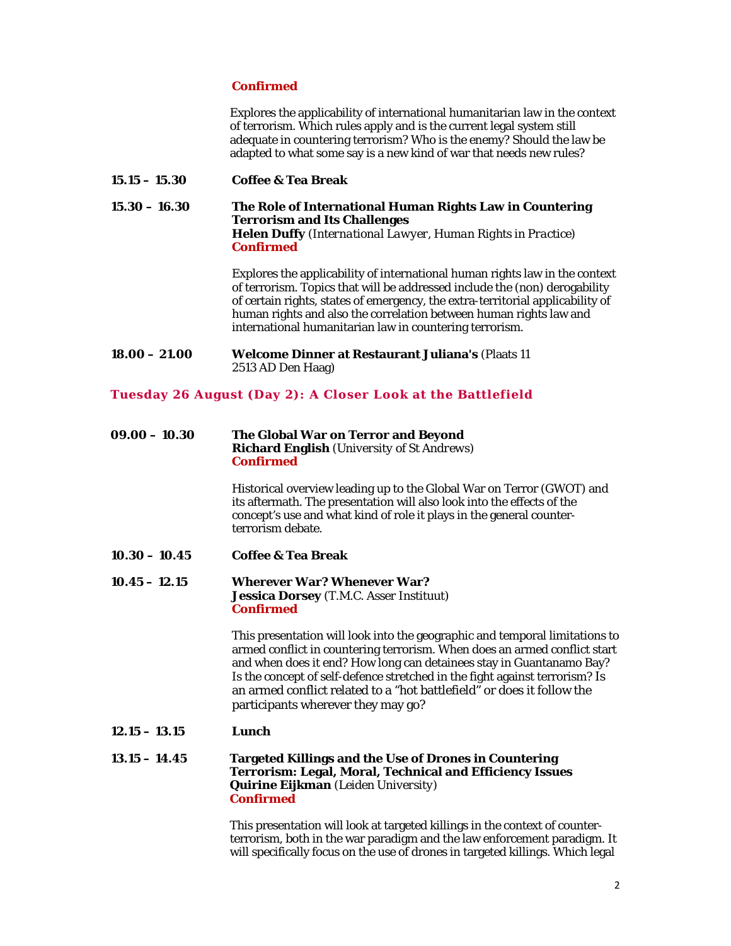## **Confirmed**

Explores the applicability of international humanitarian law in the context of terrorism. Which rules apply and is the current legal system still adequate in countering terrorism? Who is the enemy? Should the law be adapted to what some say is a new kind of war that needs new rules?

**15.15 – 15.30 Coffee & Tea Break** 

**15.30 – 16.30 The Role of International Human Rights Law in Countering Terrorism and Its Challenges Helen Duffy** *(International Lawyer, Human Rights in Practice)* **Confirmed** 

> Explores the applicability of international human rights law in the context of terrorism. Topics that will be addressed include the (non) derogability of certain rights, states of emergency, the extra-territorial applicability of human rights and also the correlation between human rights law and international humanitarian law in countering terrorism.

**18.00 – 21.00 Welcome Dinner at Restaurant Juliana's** (Plaats 11 2513 AD Den Haag)

#### **Tuesday 26 August (Day 2): A Closer Look at the Battlefield**

#### **09.00 – 10.30 The Global War on Terror and Beyond Richard English** *(University of St Andrews)* **Confirmed**

Historical overview leading up to the Global War on Terror (GWOT) and its aftermath. The presentation will also look into the effects of the concept's use and what kind of role it plays in the general counterterrorism debate.

**10.30 – 10.45 Coffee & Tea Break** 

#### **10.45 – 12.15 Wherever War? Whenever War? Jessica Dorsey** *(T.M.C. Asser Instituut)* **Confirmed**

This presentation will look into the geographic and temporal limitations to armed conflict in countering terrorism. When does an armed conflict start and when does it end? How long can detainees stay in Guantanamo Bay? Is the concept of self-defence stretched in the fight against terrorism? Is an armed conflict related to a "hot battlefield" or does it follow the participants wherever they may go?

**12.15 – 13.15 Lunch** 

#### **13.15 – 14.45 Targeted Killings and the Use of Drones in Countering Terrorism: Legal, Moral, Technical and Efficiency Issues Quirine Eijkman** *(Leiden University)*  **Confirmed**

This presentation will look at targeted killings in the context of counterterrorism, both in the war paradigm and the law enforcement paradigm. It will specifically focus on the use of drones in targeted killings. Which legal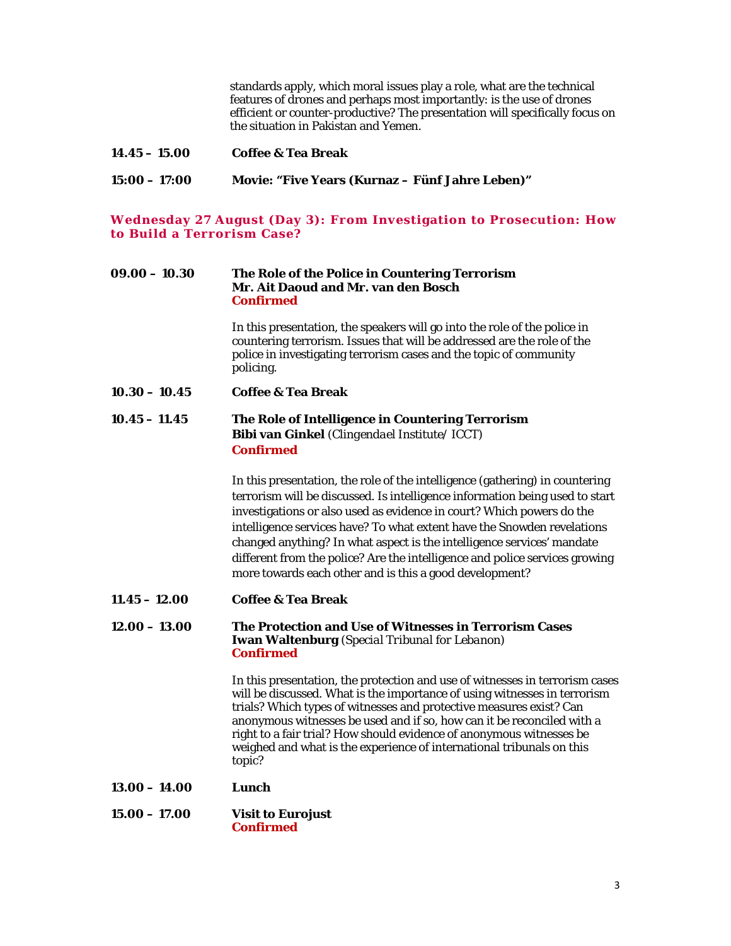standards apply, which moral issues play a role, what are the technical features of drones and perhaps most importantly: is the use of drones efficient or counter-productive? The presentation will specifically focus on the situation in Pakistan and Yemen.

| $14.45 - 15.00$ | <b>Coffee &amp; Tea Break</b>                          |
|-----------------|--------------------------------------------------------|
| $15:00 - 17:00$ | <b>Movie: "Five Years (Kurnaz – Fünf Jahre Leben)"</b> |

**Wednesday 27 August (Day 3): From Investigation to Prosecution: How to Build a Terrorism Case?** 

#### **09.00 – 10.30 The Role of the Police in Countering Terrorism Mr. Ait Daoud and Mr. van den Bosch Confirmed**

In this presentation, the speakers will go into the role of the police in countering terrorism. Issues that will be addressed are the role of the police in investigating terrorism cases and the topic of community policing.

**10.30 – 10.45 Coffee & Tea Break** 

## **10.45 – 11.45 The Role of Intelligence in Countering Terrorism Bibi van Ginkel** *(Clingendael Institute/ ICCT)* **Confirmed**

In this presentation, the role of the intelligence (gathering) in countering terrorism will be discussed. Is intelligence information being used to start investigations or also used as evidence in court? Which powers do the intelligence services have? To what extent have the Snowden revelations changed anything? In what aspect is the intelligence services' mandate different from the police? Are the intelligence and police services growing more towards each other and is this a good development?

**11.45 – 12.00 Coffee & Tea Break** 

#### **12.00 – 13.00 The Protection and Use of Witnesses in Terrorism Cases Iwan Waltenburg** *(Special Tribunal for Lebanon)* **Confirmed**

In this presentation, the protection and use of witnesses in terrorism cases will be discussed. What is the importance of using witnesses in terrorism trials? Which types of witnesses and protective measures exist? Can anonymous witnesses be used and if so, how can it be reconciled with a right to a fair trial? How should evidence of anonymous witnesses be weighed and what is the experience of international tribunals on this topic?

- **13.00 14.00 Lunch**
- **15.00 17.00 Visit to Eurojust Confirmed**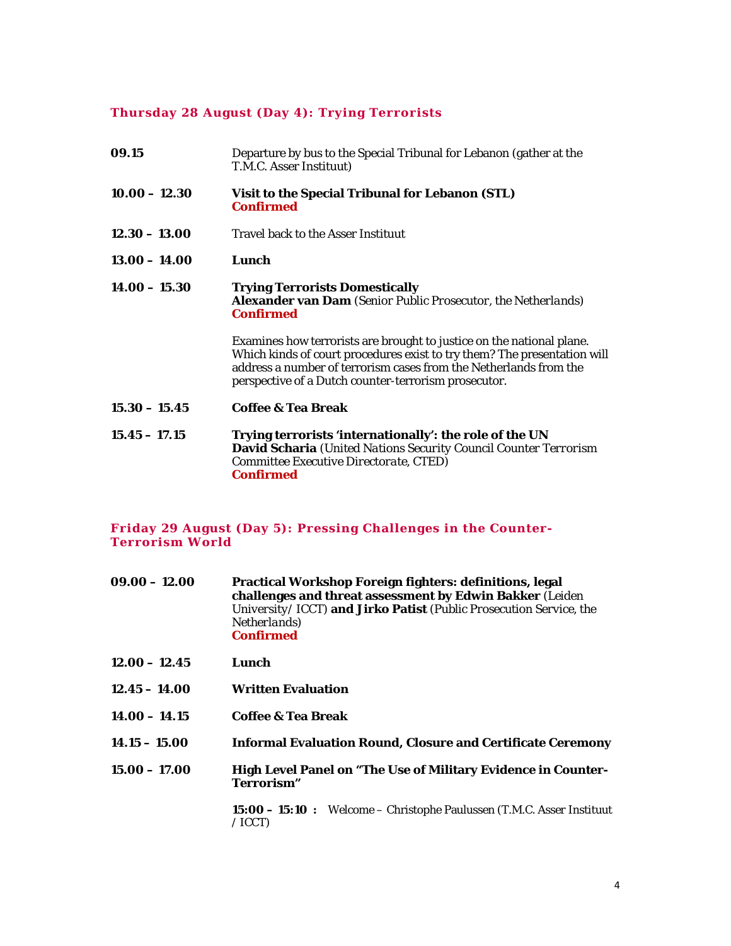## **Thursday 28 August (Day 4): Trying Terrorists**

| 09.15           | Departure by bus to the Special Tribunal for Lebanon (gather at the<br>T.M.C. Asser Instituut)                                                                                                                                                                                 |
|-----------------|--------------------------------------------------------------------------------------------------------------------------------------------------------------------------------------------------------------------------------------------------------------------------------|
| $10.00 - 12.30$ | Visit to the Special Tribunal for Lebanon (STL)<br><b>Confirmed</b>                                                                                                                                                                                                            |
| $12.30 - 13.00$ | <b>Travel back to the Asser Instituut</b>                                                                                                                                                                                                                                      |
| $13.00 - 14.00$ | Lunch                                                                                                                                                                                                                                                                          |
| $14.00 - 15.30$ | <b>Trying Terrorists Domestically</b><br><b>Alexander van Dam</b> (Senior Public Prosecutor, the Netherlands)<br><b>Confirmed</b>                                                                                                                                              |
|                 | Examines how terrorists are brought to justice on the national plane.<br>Which kinds of court procedures exist to try them? The presentation will<br>address a number of terrorism cases from the Netherlands from the<br>perspective of a Dutch counter-terrorism prosecutor. |
| $15.30 - 15.45$ | <b>Coffee &amp; Tea Break</b>                                                                                                                                                                                                                                                  |
| $15.45 - 17.15$ | Trying terrorists 'internationally': the role of the UN<br>David Scharia (United Nations Security Council Counter Terrorism<br>Committee Executive Directorate, CTED)<br><b>Confirmed</b>                                                                                      |

#### **Friday 29 August (Day 5): Pressing Challenges in the Counter-Terrorism World**

| $09.00 - 12.00$ | Practical Workshop Foreign fighters: definitions, legal            |  |
|-----------------|--------------------------------------------------------------------|--|
|                 | challenges and threat assessment by Edwin Bakker (Leiden           |  |
|                 | University/ICCT) and Jirko Patist (Public Prosecution Service, the |  |
|                 | <i>Netherlands</i> )                                               |  |
|                 | Confirmed                                                          |  |

- **12.00 12.45 Lunch**
- **12.45 14.00 Written Evaluation**
- **14.00 14.15 Coffee & Tea Break**
- **14.15 15.00 Informal Evaluation Round, Closure and Certificate Ceremony**
- **15.00 17.00 High Level Panel on "The Use of Military Evidence in Counter-Terrorism"**

**15:00 – 15:10 :** Welcome – Christophe Paulussen (*T.M.C. Asser Instituut / ICCT*)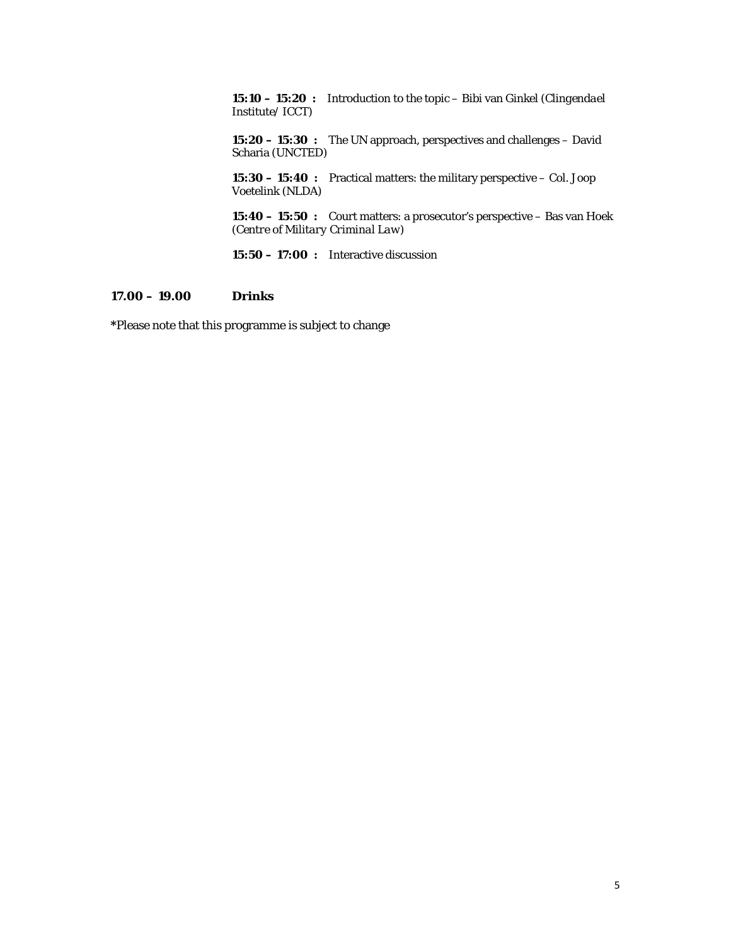**15:10 – 15:20 :** Introduction to the topic – Bibi van Ginkel (*Clingendael Institute/ ICCT*)

 **15:20 – 15:30 :** The UN approach, perspectives and challenges – David Scharia (*UNCTED*)

 **15:30 – 15:40 :** Practical matters: the military perspective – Col. Joop Voetelink (*NLDA*)

 **15:40 – 15:50 :** Court matters: a prosecutor's perspective – Bas van Hoek (*Centre of Military Criminal Law*)

**15:50 – 17:00 :** Interactive discussion

## **17.00 – 19.00 Drinks**

**\***Please note that this programme is subject to change